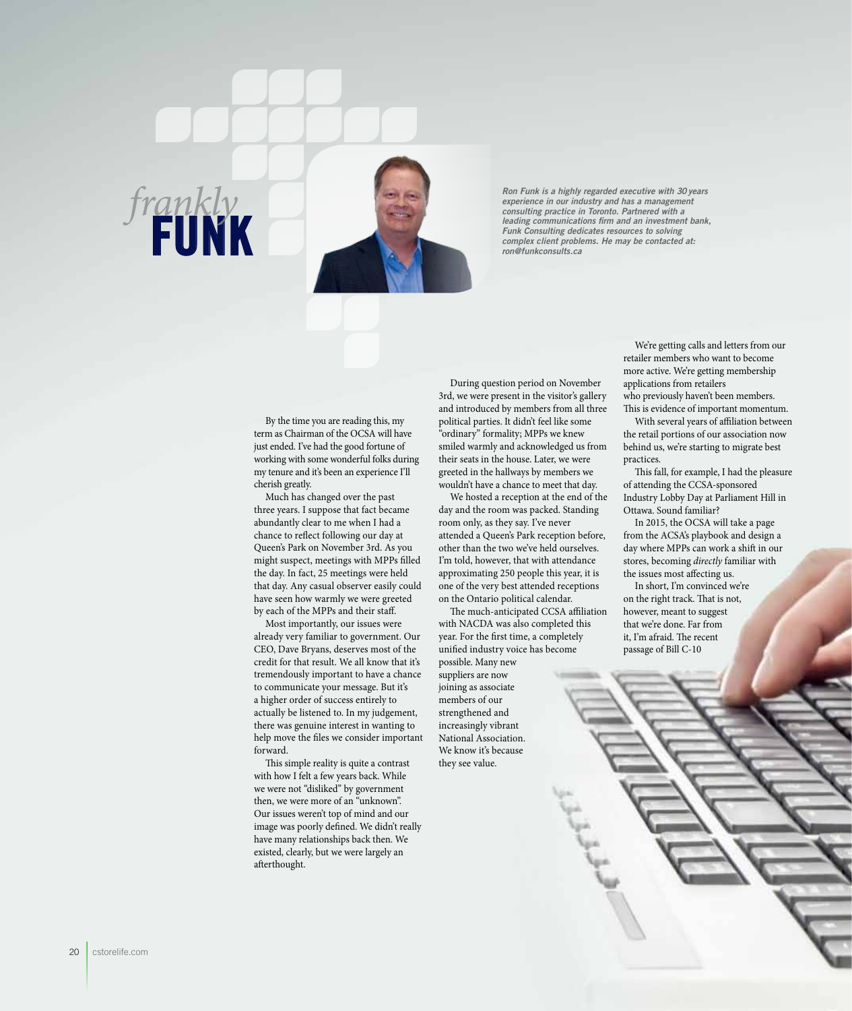

*frankly*

*Ron Funk is a highly regarded executive with 30 years experience in our industry and has a management consulting practice in Toronto. Partnered with a leading communications firm and an investment bank, Funk Consulting dedicates resources to solving consulting plactice in Signals Complex client problems. He may be contacted at:* **FUNK** *rong funk Consulting dedicates resources to solving complex client problems. He may be contacted at:* 

> By the time you are reading this, my term as Chairman of the OCSA will have just ended. I've had the good fortune of working with some wonderful folks during my tenure and it's been an experience I'll cherish greatly.

> Much has changed over the past three years. I suppose that fact became abundantly clear to me when I had a chance to reflect following our day at Queen's Park on November 3rd. As you might suspect, meetings with MPPs filled the day. In fact, 25 meetings were held that day. Any casual observer easily could have seen how warmly we were greeted by each of the MPPs and their staff.

Most importantly, our issues were already very familiar to government. Our CEO, Dave Bryans, deserves most of the credit for that result. We all know that it's tremendously important to have a chance to communicate your message. But it's a higher order of success entirely to actually be listened to. In my judgement, there was genuine interest in wanting to help move the files we consider important forward.

This simple reality is quite a contrast with how I felt a few years back. While we were not "disliked" by government then, we were more of an "unknown". Our issues weren't top of mind and our image was poorly defined. We didn't really have many relationships back then. We existed, clearly, but we were largely an afterthought.

During question period on November 3rd, we were present in the visitor's gallery and introduced by members from all three political parties. It didn't feel like some "ordinary" formality; MPPs we knew smiled warmly and acknowledged us from their seats in the house. Later, we were greeted in the hallways by members we wouldn't have a chance to meet that day.

We hosted a reception at the end of the day and the room was packed. Standing room only, as they say. I've never attended a Queen's Park reception before, other than the two we've held ourselves. I'm told, however, that with attendance approximating 250 people this year, it is one of the very best attended receptions on the Ontario political calendar.

The much-anticipated CCSA affiliation with NACDA was also completed this year. For the first time, a completely unified industry voice has become

possible. Many new suppliers are now joining as associate members of our strengthened and increasingly vibrant National Association. We know it's because they see value.

We're getting calls and letters from our retailer members who want to become more active. We're getting membership applications from retailers who previously haven't been members. This is evidence of important momentum.

With several years of affiliation between the retail portions of our association now behind us, we're starting to migrate best practices.

This fall, for example, I had the pleasure of attending the CCSA-sponsored Industry Lobby Day at Parliament Hill in Ottawa. Sound familiar?

In 2015, the OCSA will take a page from the ACSA's playbook and design a day where MPPs can work a shift in our stores, becoming *directly* familiar with the issues most affecting us.

In short, I'm convinced we're on the right track. That is not, however, meant to suggest that we're done. Far from it, I'm afraid. The recent passage of Bill C-10